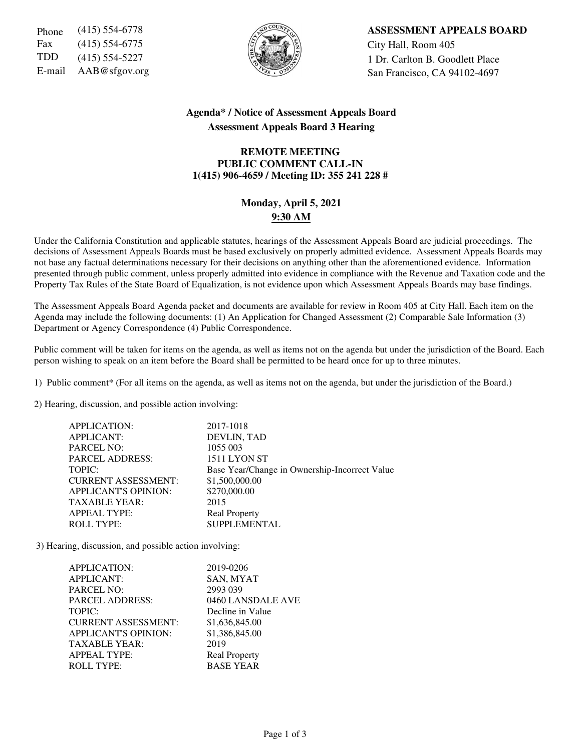Fax (415) 554-6775  $\left|\frac{5}{6}\right|$   $\left|\frac{1}{2}\right|$  City Hall, Room 405



Phone (415) 554-6778 **ASSESSMENT APPEALS BOARD** TDD  $(415)$  554-5227  $\left\{\begin{matrix} \sqrt[3]{} \\ \sqrt[3]{2} \end{matrix}\right\}$  1 Dr. Carlton B. Goodlett Place E-mail  $AAB@sfgov.org$  San Francisco, CA 94102-4697

## **Agenda\* / Notice of Assessment Appeals Board Assessment Appeals Board 3 Hearing**

## **REMOTE MEETING PUBLIC COMMENT CALL-IN 1(415) 906-4659 / Meeting ID: 355 241 228 #**

# **Monday, April 5, 2021 9:30 AM**

Under the California Constitution and applicable statutes, hearings of the Assessment Appeals Board are judicial proceedings. The decisions of Assessment Appeals Boards must be based exclusively on properly admitted evidence. Assessment Appeals Boards may not base any factual determinations necessary for their decisions on anything other than the aforementioned evidence. Information presented through public comment, unless properly admitted into evidence in compliance with the Revenue and Taxation code and the Property Tax Rules of the State Board of Equalization, is not evidence upon which Assessment Appeals Boards may base findings.

The Assessment Appeals Board Agenda packet and documents are available for review in Room 405 at City Hall. Each item on the Agenda may include the following documents: (1) An Application for Changed Assessment (2) Comparable Sale Information (3) Department or Agency Correspondence (4) Public Correspondence.

Public comment will be taken for items on the agenda, as well as items not on the agenda but under the jurisdiction of the Board. Each person wishing to speak on an item before the Board shall be permitted to be heard once for up to three minutes.

1) Public comment\* (For all items on the agenda, as well as items not on the agenda, but under the jurisdiction of the Board.)

2) Hearing, discussion, and possible action involving:

| <b>APPLICATION:</b>         | 2017-1018                                     |
|-----------------------------|-----------------------------------------------|
| <b>APPLICANT:</b>           | DEVLIN, TAD                                   |
| <b>PARCEL NO:</b>           | 1055 003                                      |
| <b>PARCEL ADDRESS:</b>      | 1511 LYON ST                                  |
| TOPIC:                      | Base Year/Change in Ownership-Incorrect Value |
| <b>CURRENT ASSESSMENT:</b>  | \$1,500,000.00                                |
| <b>APPLICANT'S OPINION:</b> | \$270,000.00                                  |
| <b>TAXABLE YEAR:</b>        | 2015                                          |
| <b>APPEAL TYPE:</b>         | <b>Real Property</b>                          |
| <b>ROLL TYPE:</b>           | <b>SUPPLEMENTAL</b>                           |
|                             |                                               |

3) Hearing, discussion, and possible action involving:

| APPLICATION:                | 2019-0206            |
|-----------------------------|----------------------|
| <b>APPLICANT:</b>           | SAN, MYAT            |
| <b>PARCEL NO:</b>           | 2993 039             |
| <b>PARCEL ADDRESS:</b>      | 0460 LANSDALE AVE    |
| TOPIC:                      | Decline in Value     |
| <b>CURRENT ASSESSMENT:</b>  | \$1,636,845.00       |
| <b>APPLICANT'S OPINION:</b> | \$1,386,845.00       |
| <b>TAXABLE YEAR:</b>        | 2019                 |
| <b>APPEAL TYPE:</b>         | <b>Real Property</b> |
| <b>ROLL TYPE:</b>           | <b>BASE YEAR</b>     |
|                             |                      |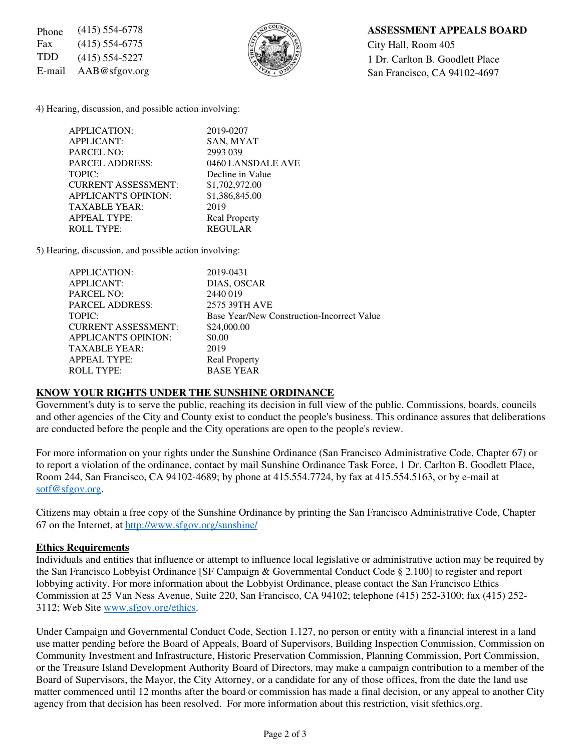Fax (415) 554-6775  $\left|\frac{5}{2}\right| \times \left|\frac{8}{2}\right|$  City Hall, Room 405



## Phone (415) 554-6778 **ASSESSMENT APPEALS BOARD**

TDD  $(415)$  554-5227  $\left\{\begin{matrix} \sqrt{2} & \sqrt{2} \\ \sqrt{2} & \sqrt{2} \end{matrix}\right\}$  1 Dr. Carlton B. Goodlett Place E-mail  $AAB@sfgov.org$  San Francisco, CA 94102-4697

4) Hearing, discussion, and possible action involving:

| APPLICATION:                | 2019-0207            |
|-----------------------------|----------------------|
| <b>APPLICANT:</b>           | SAN, MYAT            |
| PARCEL NO:                  | 2993 039             |
| <b>PARCEL ADDRESS:</b>      | 0460 LANSDALE AVE    |
| TOPIC:                      | Decline in Value     |
| <b>CURRENT ASSESSMENT:</b>  | \$1,702,972.00       |
| <b>APPLICANT'S OPINION:</b> | \$1,386,845.00       |
| <b>TAXABLE YEAR:</b>        | 2019                 |
| <b>APPEAL TYPE:</b>         | <b>Real Property</b> |
| <b>ROLL TYPE:</b>           | <b>REGULAR</b>       |
|                             |                      |

5) Hearing, discussion, and possible action involving:

| APPLICATION:                | 2019-0431                                  |
|-----------------------------|--------------------------------------------|
| <b>APPLICANT:</b>           | DIAS, OSCAR                                |
| <b>PARCEL NO:</b>           | 2440019                                    |
| <b>PARCEL ADDRESS:</b>      | 2575 39TH AVE                              |
| TOPIC:                      | Base Year/New Construction-Incorrect Value |
| <b>CURRENT ASSESSMENT:</b>  | \$24,000.00                                |
| <b>APPLICANT'S OPINION:</b> | \$0.00                                     |
| <b>TAXABLE YEAR:</b>        | 2019                                       |
| <b>APPEAL TYPE:</b>         | <b>Real Property</b>                       |
| <b>ROLL TYPE:</b>           | <b>BASE YEAR</b>                           |

#### **KNOW YOUR RIGHTS UNDER THE SUNSHINE ORDINANCE**

Government's duty is to serve the public, reaching its decision in full view of the public. Commissions, boards, councils and other agencies of the City and County exist to conduct the people's business. This ordinance assures that deliberations are conducted before the people and the City operations are open to the people's review.

For more information on your rights under the Sunshine Ordinance (San Francisco Administrative Code, Chapter 67) or to report a violation of the ordinance, contact by mail Sunshine Ordinance Task Force, 1 Dr. Carlton B. Goodlett Place, Room 244, San Francisco, CA 94102-4689; by phone at 415.554.7724, by fax at 415.554.5163, or by e-mail at sotf@sfgov.org.

Citizens may obtain a free copy of the Sunshine Ordinance by printing the San Francisco Administrative Code, Chapter 67 on the Internet, at http://www.sfgov.org/sunshine/

#### **Ethics Requirements**

Individuals and entities that influence or attempt to influence local legislative or administrative action may be required by the San Francisco Lobbyist Ordinance [SF Campaign & Governmental Conduct Code § 2.100] to register and report lobbying activity. For more information about the Lobbyist Ordinance, please contact the San Francisco Ethics Commission at 25 Van Ness Avenue, Suite 220, San Francisco, CA 94102; telephone (415) 252-3100; fax (415) 252- 3112; Web Site www.sfgov.org/ethics.

Under Campaign and Governmental Conduct Code, Section 1.127, no person or entity with a financial interest in a land use matter pending before the Board of Appeals, Board of Supervisors, Building Inspection Commission, Commission on Community Investment and Infrastructure, Historic Preservation Commission, Planning Commission, Port Commission, or the Treasure Island Development Authority Board of Directors, may make a campaign contribution to a member of the Board of Supervisors, the Mayor, the City Attorney, or a candidate for any of those offices, from the date the land use matter commenced until 12 months after the board or commission has made a final decision, or any appeal to another City agency from that decision has been resolved. For more information about this restriction, visit sfethics.org.